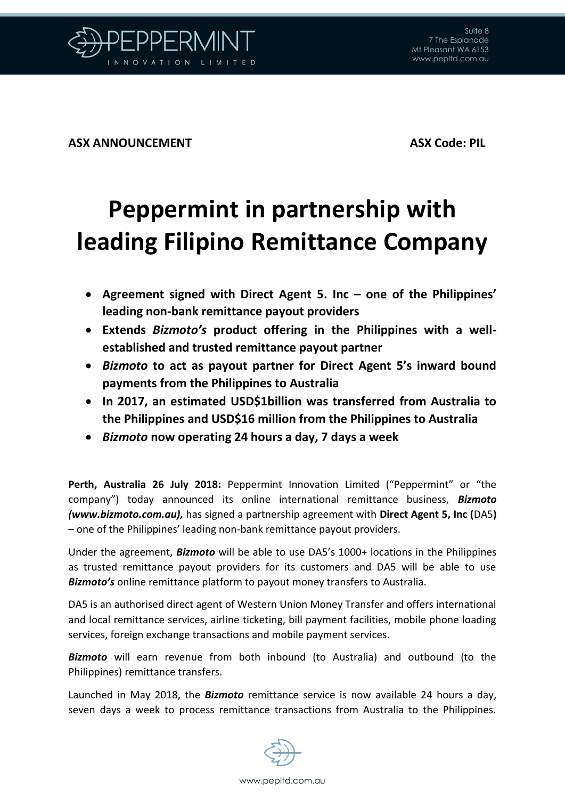

**ASX ANNOUNCEMENT ASX Code: PIL**

## **Peppermint in partnership with leading Filipino Remittance Company**

- **Agreement signed with Direct Agent 5. Inc – one of the Philippines' leading non-bank remittance payout providers**
- **Extends** *Bizmoto's* **product offering in the Philippines with a wellestablished and trusted remittance payout partner**
- *Bizmoto* **to act as payout partner for Direct Agent 5's inward bound payments from the Philippines to Australia**
- **In 2017, an estimated USD\$1billion was transferred from Australia to the Philippines and USD\$16 million from the Philippines to Australia**
- *Bizmoto* **now operating 24 hours a day, 7 days a week**

**Perth, Australia 26 July 2018:** Peppermint Innovation Limited ("Peppermint" or "the company") today announced its online international remittance business, *Bizmoto (www.bizmoto.com.au),* has signed a partnership agreement with **Direct Agent 5, Inc (**DA5**)** – one of the Philippines' leading non-bank remittance payout providers.

Under the agreement, *Bizmoto* will be able to use DA5's 1000+ locations in the Philippines as trusted remittance payout providers for its customers and DA5 will be able to use *Bizmoto's* online remittance platform to payout money transfers to Australia.

DA5 is an authorised direct agent of Western Union Money Transfer and offers international and local remittance services, airline ticketing, bill payment facilities, mobile phone loading services, foreign exchange transactions and mobile payment services.

*Bizmoto* will earn revenue from both inbound (to Australia) and outbound (to the Philippines) remittance transfers.

Launched in May 2018, the *Bizmoto* remittance service is now available 24 hours a day, seven days a week to process remittance transactions from Australia to the Philippines.

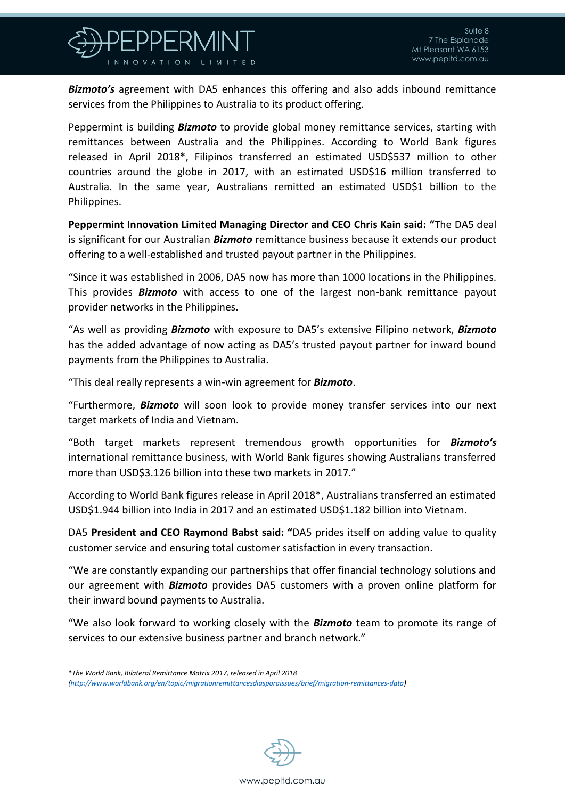

*Bizmoto's* agreement with DA5 enhances this offering and also adds inbound remittance services from the Philippines to Australia to its product offering.

Peppermint is building *Bizmoto* to provide global money remittance services, starting with remittances between Australia and the Philippines. According to World Bank figures released in April 2018\*, Filipinos transferred an estimated USD\$537 million to other countries around the globe in 2017, with an estimated USD\$16 million transferred to Australia. In the same year, Australians remitted an estimated USD\$1 billion to the Philippines.

**Peppermint Innovation Limited Managing Director and CEO Chris Kain said: "**The DA5 deal is significant for our Australian *Bizmoto* remittance business because it extends our product offering to a well-established and trusted payout partner in the Philippines.

"Since it was established in 2006, DA5 now has more than 1000 locations in the Philippines. This provides *Bizmoto* with access to one of the largest non-bank remittance payout provider networks in the Philippines.

"As well as providing *Bizmoto* with exposure to DA5's extensive Filipino network, *Bizmoto* has the added advantage of now acting as DA5's trusted payout partner for inward bound payments from the Philippines to Australia.

"This deal really represents a win-win agreement for *Bizmoto*.

"Furthermore, *Bizmoto* will soon look to provide money transfer services into our next target markets of India and Vietnam.

"Both target markets represent tremendous growth opportunities for *Bizmoto's* international remittance business, with World Bank figures showing Australians transferred more than USD\$3.126 billion into these two markets in 2017."

According to World Bank figures release in April 2018\*, Australians transferred an estimated USD\$1.944 billion into India in 2017 and an estimated USD\$1.182 billion into Vietnam.

DA5 **President and CEO Raymond Babst said: "**DA5 prides itself on adding value to quality customer service and ensuring total customer satisfaction in every transaction.

"We are constantly expanding our partnerships that offer financial technology solutions and our agreement with *Bizmoto* provides DA5 customers with a proven online platform for their inward bound payments to Australia.

"We also look forward to working closely with the *Bizmoto* team to promote its range of services to our extensive business partner and branch network."

**\****The World Bank, Bilateral Remittance Matrix 2017, released in April 2018 (http://www.worldbank.org/en/topic/migrationremittancesdiasporaissues/brief/migration-remittances-data)*